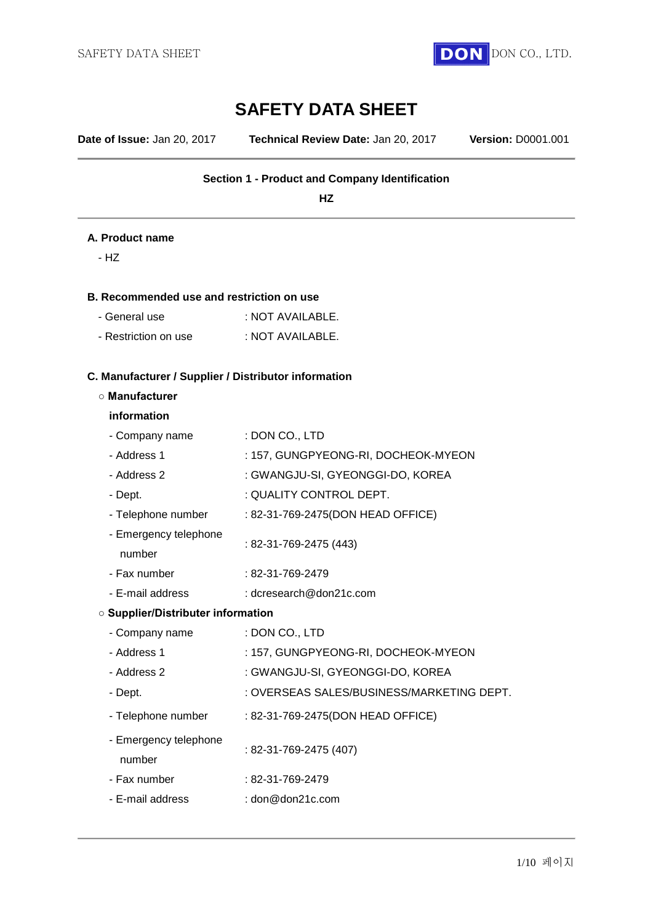

# **SAFETY DATA SHEET**

**Date of Issue:** Jan 20, 2017 **Technical Review Date:** Jan 20, 2017 **Version:** D0001.001

### **Section 1 - Product and Company Identification**

**HZ**

### **A. Product name**

- HZ

### **B. Recommended use and restriction on use**

| - General use | : NOT AVAILABLE. |
|---------------|------------------|
|               |                  |

- Restriction on use : NOT AVAILABLE.

### **C. Manufacturer / Supplier / Distributor information**

#### **○ Manufacturer**

#### **information**

number

- Company name : DON CO., LTD
- Address 1 : 157, GUNGPYEONG-RI, DOCHEOK-MYEON
- Address 2 : GWANGJU-SI, GYEONGGI-DO, KOREA
- Dept.  $\qquad \qquad :$  QUALITY CONTROL DEPT.
- Telephone number : 82-31-769-2475(DON HEAD OFFICE)
- Emergency telephone : 82-31-769-2475 (443)
- Fax number : 82-31-769-2479
- E-mail address : dcresearch@don21c.com

### **○ Supplier/Distributer information**

| - Company name                  | : DON CO., LTD                            |
|---------------------------------|-------------------------------------------|
| - Address 1                     | : 157, GUNGPYEONG-RI, DOCHEOK-MYEON       |
| - Address 2                     | : GWANGJU-SI, GYEONGGI-DO, KOREA          |
| - Dept.                         | : OVERSEAS SALES/BUSINESS/MARKETING DEPT. |
| - Telephone number              | : 82-31-769-2475(DON HEAD OFFICE)         |
| - Emergency telephone<br>number | $: 82-31-769-2475(407)$                   |
| - Fax number                    | : 82-31-769-2479                          |
| - E-mail address                | : don@don21c.com                          |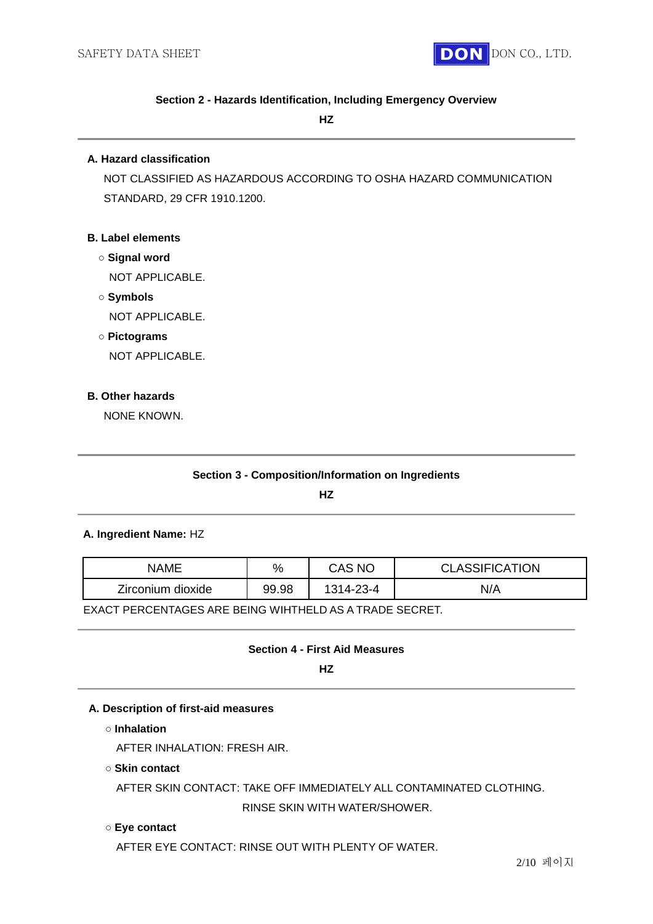

### **Section 2 - Hazards Identification, Including Emergency Overview**

### **HZ**

### **A. Hazard classification**

NOT CLASSIFIED AS HAZARDOUS ACCORDING TO OSHA HAZARD COMMUNICATION STANDARD, 29 CFR 1910.1200.

### **B. Label elements**

- **○ Signal word**
	- NOT APPLICABLE.
- **○ Symbols**

NOT APPLICABLE.

### **○ Pictograms**

NOT APPLICABLE.

### **B. Other hazards**

NONE KNOWN.

### **Section 3 - Composition/Information on Ingredients**

**HZ**

### **A. Ingredient Name:** HZ

| NAME              | $\%$  | CAS NC    | <b>CLASSIFICATION</b> |
|-------------------|-------|-----------|-----------------------|
| Zirconium dioxide | 99.98 | 1314-23-4 | N/A                   |

EXACT PERCENTAGES ARE BEING WIHTHELD AS A TRADE SECRET.

### **Section 4 - First Aid Measures**

**HZ**

### **A. Description of first-aid measures**

**○ Inhalation**

AFTER INHALATION: FRESH AIR.

**○ Skin contact**

AFTER SKIN CONTACT: TAKE OFF IMMEDIATELY ALL CONTAMINATED CLOTHING.

RINSE SKIN WITH WATER/SHOWER.

# **○ Eye contact**

AFTER EYE CONTACT: RINSE OUT WITH PLENTY OF WATER.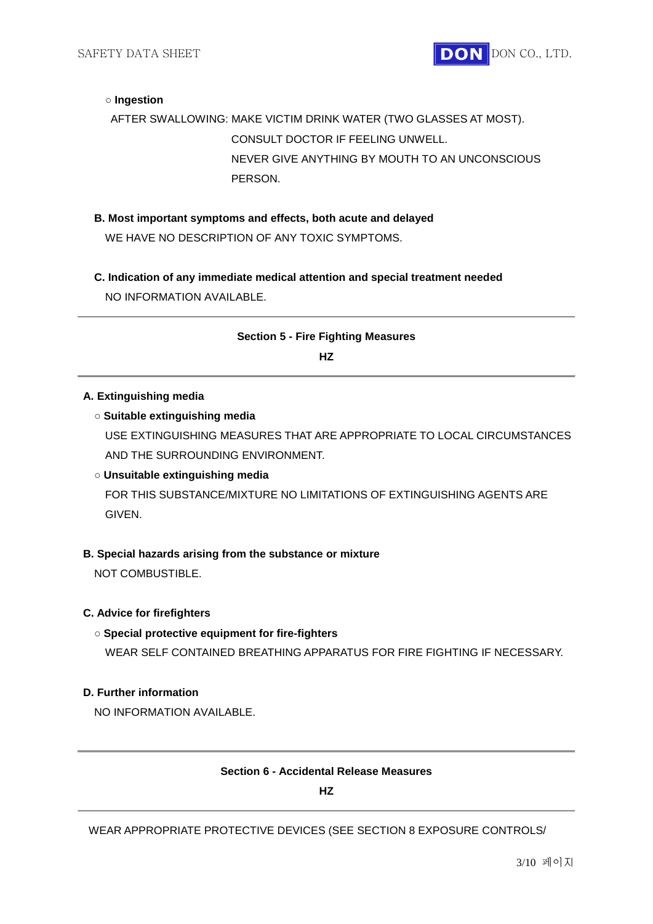

### **○ Ingestion**

AFTER SWALLOWING: MAKE VICTIM DRINK WATER (TWO GLASSES AT MOST). CONSULT DOCTOR IF FEELING UNWELL. NEVER GIVE ANYTHING BY MOUTH TO AN UNCONSCIOUS PERSON.

- **B. Most important symptoms and effects, both acute and delayed** WE HAVE NO DESCRIPTION OF ANY TOXIC SYMPTOMS.
- **C. Indication of any immediate medical attention and special treatment needed** NO INFORMATION AVAILABLE.

# **Section 5 - Fire Fighting Measures HZ**

### **A. Extinguishing media**

### **○ Suitable extinguishing media**

USE EXTINGUISHING MEASURES THAT ARE APPROPRIATE TO LOCAL CIRCUMSTANCES AND THE SURROUNDING ENVIRONMENT.

# **○ Unsuitable extinguishing media**

FOR THIS SUBSTANCE/MIXTURE NO LIMITATIONS OF EXTINGUISHING AGENTS ARE GIVEN.

### **B. Special hazards arising from the substance or mixture**

NOT COMBUSTIBLE.

### **C. Advice for firefighters**

### **○ Special protective equipment for fire-fighters**

WEAR SELF CONTAINED BREATHING APPARATUS FOR FIRE FIGHTING IF NECESSARY.

# **D. Further information**

NO INFORMATION AVAILABLE.

### **Section 6 - Accidental Release Measures**

**HZ**

### WEAR APPROPRIATE PROTECTIVE DEVICES (SEE SECTION 8 EXPOSURE CONTROLS/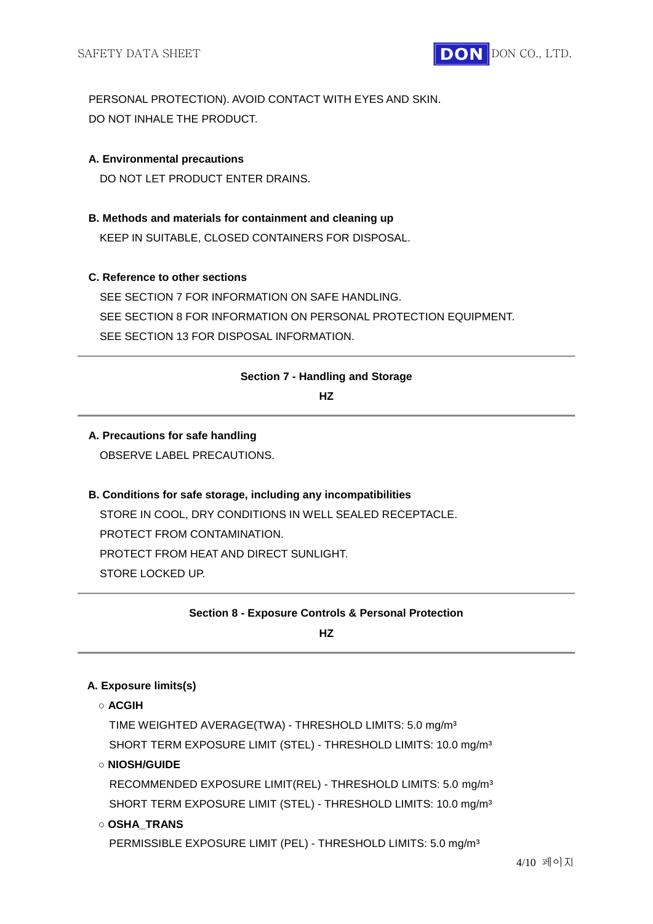

PERSONAL PROTECTION). AVOID CONTACT WITH EYES AND SKIN. DO NOT INHALE THE PRODUCT.

### **A. Environmental precautions**

DO NOT LET PRODUCT ENTER DRAINS.

**B. Methods and materials for containment and cleaning up** KEEP IN SUITABLE, CLOSED CONTAINERS FOR DISPOSAL.

### **C. Reference to other sections**

SEE SECTION 7 FOR INFORMATION ON SAFE HANDLING. SEE SECTION 8 FOR INFORMATION ON PERSONAL PROTECTION EQUIPMENT. SEE SECTION 13 FOR DISPOSAL INFORMATION.

### **Section 7 - Handling and Storage**

**HZ**

# **A. Precautions for safe handling**

OBSERVE LABEL PRECAUTIONS.

# **B. Conditions for safe storage, including any incompatibilities** STORE IN COOL, DRY CONDITIONS IN WELL SEALED RECEPTACLE. PROTECT FROM CONTAMINATION. PROTECT FROM HEAT AND DIRECT SUNLIGHT.

STORE LOCKED UP.

**Section 8 - Exposure Controls & Personal Protection** 

**HZ**

### **A. Exposure limits(s)**

**○ ACGIH**

TIME WEIGHTED AVERAGE(TWA) - THRESHOLD LIMITS: 5.0 mg/m³ SHORT TERM EXPOSURE LIMIT (STEL) - THRESHOLD LIMITS: 10.0 mg/m<sup>3</sup>

# **○ NIOSH/GUIDE**

RECOMMENDED EXPOSURE LIMIT(REL) - THRESHOLD LIMITS: 5.0 mg/m³ SHORT TERM EXPOSURE LIMIT (STEL) - THRESHOLD LIMITS: 10.0 mg/m³

### **○ OSHA\_TRANS**

PERMISSIBLE EXPOSURE LIMIT (PEL) - THRESHOLD LIMITS: 5.0 mg/m<sup>3</sup>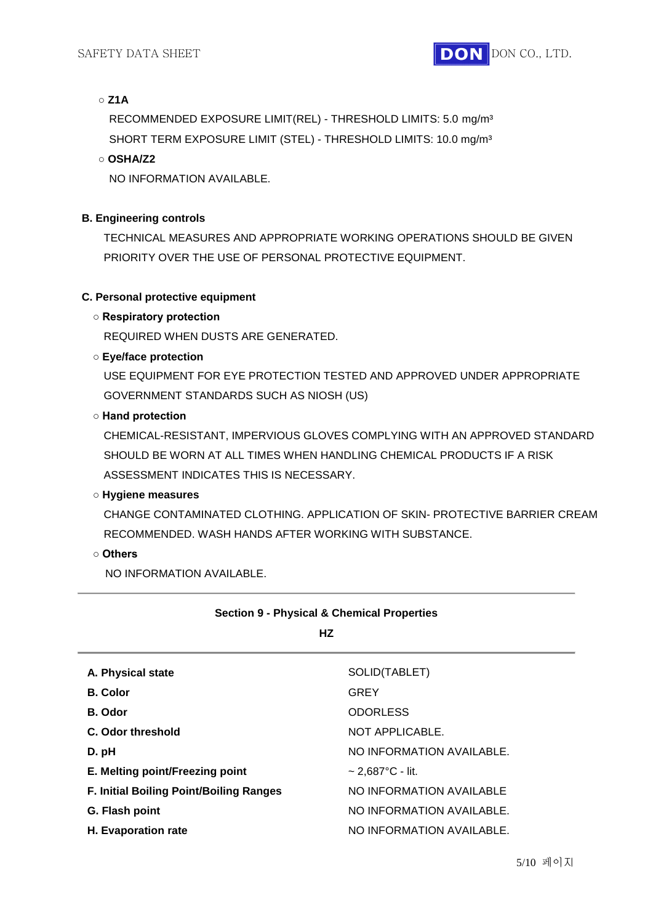# **○ Z1A**

RECOMMENDED EXPOSURE LIMIT(REL) - THRESHOLD LIMITS: 5.0 mg/m³ SHORT TERM EXPOSURE LIMIT (STEL) - THRESHOLD LIMITS: 10.0 mg/m<sup>3</sup>

# **○ OSHA/Z2**

NO INFORMATION AVAILABLE.

### **B. Engineering controls**

TECHNICAL MEASURES AND APPROPRIATE WORKING OPERATIONS SHOULD BE GIVEN PRIORITY OVER THE USE OF PERSONAL PROTECTIVE EQUIPMENT.

### **C. Personal protective equipment**

# **○ Respiratory protection**

REQUIRED WHEN DUSTS ARE GENERATED.

# **○ Eye/face protection**

USE EQUIPMENT FOR EYE PROTECTION TESTED AND APPROVED UNDER APPROPRIATE GOVERNMENT STANDARDS SUCH AS NIOSH (US)

### **○ Hand protection**

CHEMICAL-RESISTANT, IMPERVIOUS GLOVES COMPLYING WITH AN APPROVED STANDARD SHOULD BE WORN AT ALL TIMES WHEN HANDLING CHEMICAL PRODUCTS IF A RISK ASSESSMENT INDICATES THIS IS NECESSARY.

# **○ Hygiene measures**

CHANGE CONTAMINATED CLOTHING. APPLICATION OF SKIN- PROTECTIVE BARRIER CREAM RECOMMENDED. WASH HANDS AFTER WORKING WITH SUBSTANCE.

### **○ Others**

NO INFORMATION AVAILABLE.

# **Section 9 - Physical & Chemical Properties**

### **HZ**

| A. Physical state                              | SOLID(TABLET)             |
|------------------------------------------------|---------------------------|
| <b>B.</b> Color                                | <b>GREY</b>               |
| B. Odor                                        | <b>ODORLESS</b>           |
| C. Odor threshold                              | NOT APPLICABLE.           |
| D. pH                                          | NO INFORMATION AVAILABLE. |
| E. Melting point/Freezing point                | $\sim$ 2,687°C - lit.     |
| <b>F. Initial Boiling Point/Boiling Ranges</b> | NO INFORMATION AVAILABLE  |
| G. Flash point                                 | NO INFORMATION AVAILABLE. |
| <b>H.</b> Evaporation rate                     | NO INFORMATION AVAILABLE. |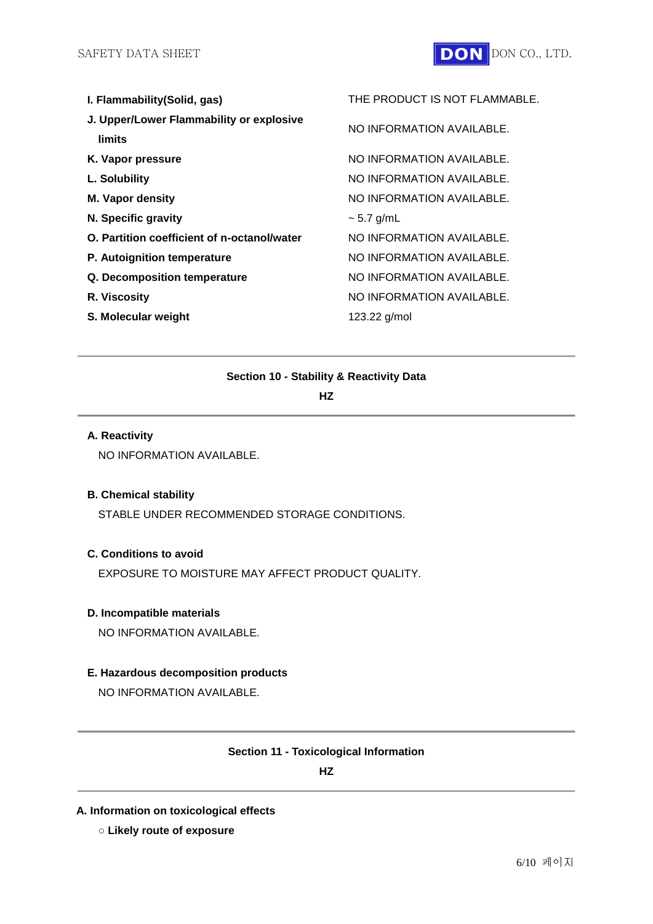

| I. Flammability (Solid, gas)                | THE PRODUCT IS NOT FLAMMABLE. |
|---------------------------------------------|-------------------------------|
| J. Upper/Lower Flammability or explosive    | NO INFORMATION AVAILABLE.     |
| limits                                      |                               |
| K. Vapor pressure                           | NO INFORMATION AVAILABLE.     |
| L. Solubility                               | NO INFORMATION AVAILABLE.     |
| <b>M. Vapor density</b>                     | NO INFORMATION AVAILABLE.     |
| N. Specific gravity                         | $\sim$ 5.7 g/mL               |
| O. Partition coefficient of n-octanol/water | NO INFORMATION AVAILABLE.     |
| P. Autoignition temperature                 | NO INFORMATION AVAILABLE.     |
| Q. Decomposition temperature                | NO INFORMATION AVAILABLE.     |
| R. Viscosity                                | NO INFORMATION AVAILABLE.     |
| S. Molecular weight                         | 123.22 g/mol                  |
|                                             |                               |

### **Section 10 - Stability & Reactivity Data**

**HZ**

### **A. Reactivity**

NO INFORMATION AVAILABLE.

# **B. Chemical stability**

STABLE UNDER RECOMMENDED STORAGE CONDITIONS.

# **C. Conditions to avoid**

EXPOSURE TO MOISTURE MAY AFFECT PRODUCT QUALITY.

### **D. Incompatible materials**

NO INFORMATION AVAILABLE.

# **E. Hazardous decomposition products**

NO INFORMATION AVAILABLE.

### **Section 11 - Toxicological Information**

**HZ**

# **A. Information on toxicological effects**

**○ Likely route of exposure**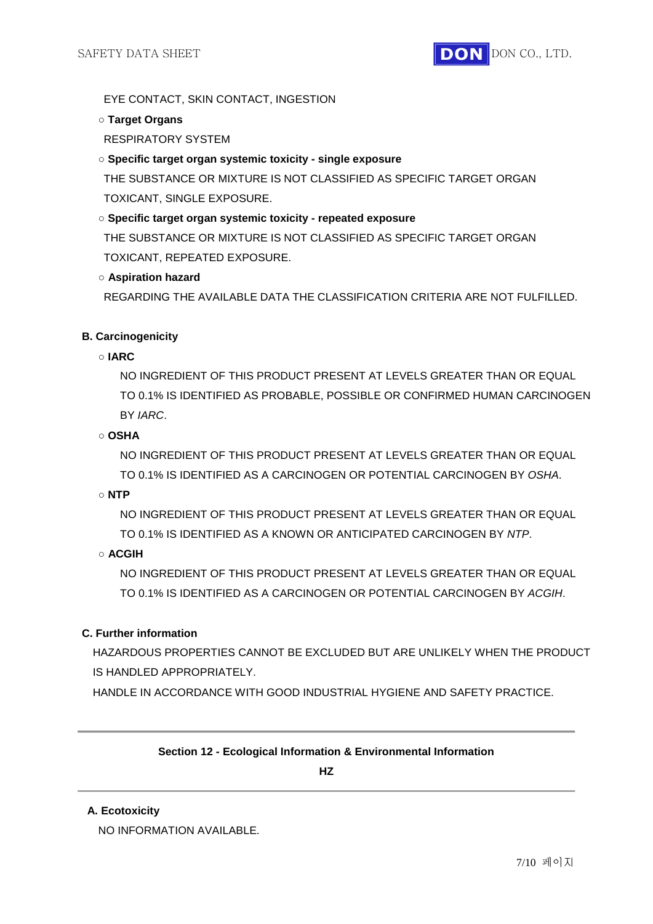EYE CONTACT, SKIN CONTACT, INGESTION

### **○ Target Organs**

RESPIRATORY SYSTEM

# **○ Specific target organ systemic toxicity - single exposure**

THE SUBSTANCE OR MIXTURE IS NOT CLASSIFIED AS SPECIFIC TARGET ORGAN TOXICANT, SINGLE EXPOSURE.

# **○ Specific target organ systemic toxicity - repeated exposure**

THE SUBSTANCE OR MIXTURE IS NOT CLASSIFIED AS SPECIFIC TARGET ORGAN TOXICANT, REPEATED EXPOSURE.

# **○ Aspiration hazard**

REGARDING THE AVAILABLE DATA THE CLASSIFICATION CRITERIA ARE NOT FULFILLED.

# **B. Carcinogenicity**

# **○ IARC**

NO INGREDIENT OF THIS PRODUCT PRESENT AT LEVELS GREATER THAN OR EQUAL TO 0.1% IS IDENTIFIED AS PROBABLE, POSSIBLE OR CONFIRMED HUMAN CARCINOGEN BY *IARC*.

# **○ OSHA**

NO INGREDIENT OF THIS PRODUCT PRESENT AT LEVELS GREATER THAN OR EQUAL TO 0.1% IS IDENTIFIED AS A CARCINOGEN OR POTENTIAL CARCINOGEN BY *OSHA*.

### **○ NTP**

NO INGREDIENT OF THIS PRODUCT PRESENT AT LEVELS GREATER THAN OR EQUAL TO 0.1% IS IDENTIFIED AS A KNOWN OR ANTICIPATED CARCINOGEN BY *NTP*.

# **○ ACGIH**

NO INGREDIENT OF THIS PRODUCT PRESENT AT LEVELS GREATER THAN OR EQUAL TO 0.1% IS IDENTIFIED AS A CARCINOGEN OR POTENTIAL CARCINOGEN BY *ACGIH*.

# **C. Further information**

HAZARDOUS PROPERTIES CANNOT BE EXCLUDED BUT ARE UNLIKELY WHEN THE PRODUCT IS HANDLED APPROPRIATELY

HANDLE IN ACCORDANCE WITH GOOD INDUSTRIAL HYGIENE AND SAFETY PRACTICE.

# **Section 12 - Ecological Information & Environmental Information**

### **HZ**

### **A. Ecotoxicity**

NO INFORMATION AVAILABLE.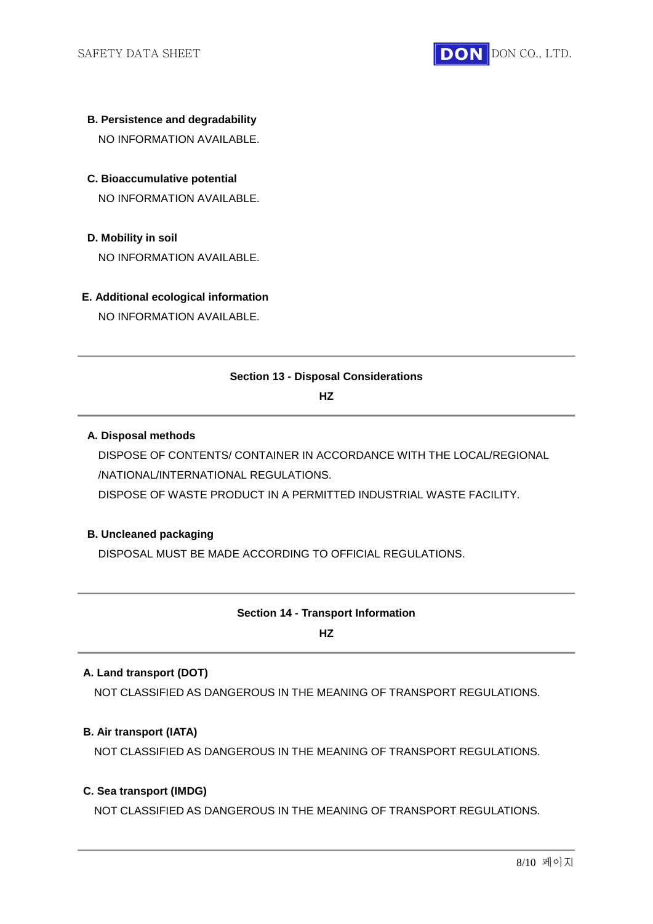

- **B. Persistence and degradability** NO INFORMATION AVAILABLE.
- **C. Bioaccumulative potential** NO INFORMATION AVAILABLE.
- **D. Mobility in soil** NO INFORMATION AVAILABLE.
- **E. Additional ecological information** NO INFORMATION AVAILABLE.

### **Section 13 - Disposal Considerations**

**HZ**

### **A. Disposal methods**

DISPOSE OF CONTENTS/ CONTAINER IN ACCORDANCE WITH THE LOCAL/REGIONAL /NATIONAL/INTERNATIONAL REGULATIONS.

DISPOSE OF WASTE PRODUCT IN A PERMITTED INDUSTRIAL WASTE FACILITY.

# **B. Uncleaned packaging**

DISPOSAL MUST BE MADE ACCORDING TO OFFICIAL REGULATIONS.

### **Section 14 - Transport Information**

**HZ**

# **A. Land transport (DOT)**

NOT CLASSIFIED AS DANGEROUS IN THE MEANING OF TRANSPORT REGULATIONS.

### **B. Air transport (IATA)**

NOT CLASSIFIED AS DANGEROUS IN THE MEANING OF TRANSPORT REGULATIONS.

### **C. Sea transport (IMDG)**

NOT CLASSIFIED AS DANGEROUS IN THE MEANING OF TRANSPORT REGULATIONS.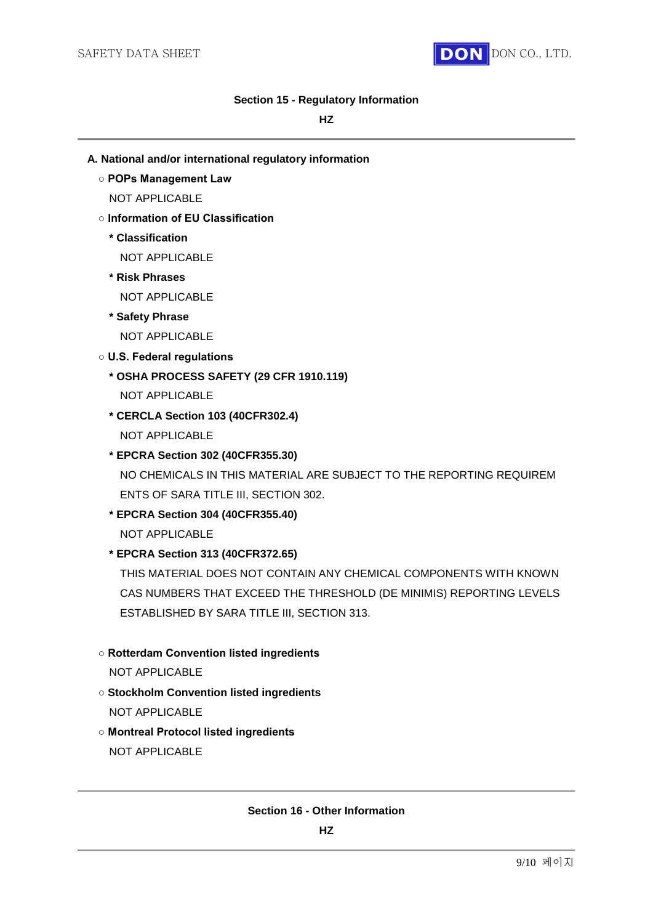

### **Section 15 - Regulatory Information**

### **HZ**

- **A. National and/or international regulatory information**
	- **POPs Management Law**

NOT APPLICABLE

- **Information of EU Classification**
	- **\* Classification**

NOT APPLICABLE

**\* Risk Phrases**

NOT APPLICABLE

**\* Safety Phrase**

NOT APPLICABLE

- **U.S. Federal regulations**
	- **\* OSHA PROCESS SAFETY (29 CFR 1910.119)**

NOT APPLICABLE

- **\* CERCLA Section 103 (40CFR302.4)** NOT APPLICABLE
- **\* EPCRA Section 302 (40CFR355.30)** NO CHEMICALS IN THIS MATERIAL ARE SUBJECT TO THE REPORTING REQUIREM ENTS OF SARA TITLE III, SECTION 302.
- **\* EPCRA Section 304 (40CFR355.40)** NOT APPLICABLE

# **\* EPCRA Section 313 (40CFR372.65)**

THIS MATERIAL DOES NOT CONTAIN ANY CHEMICAL COMPONENTS WITH KNOWN CAS NUMBERS THAT EXCEED THE THRESHOLD (DE MINIMIS) REPORTING LEVELS ESTABLISHED BY SARA TITLE III, SECTION 313.

# **○ Rotterdam Convention listed ingredients**

NOT APPLICABLE

- **Stockholm Convention listed ingredients** NOT APPLICABLE
- **Montreal Protocol listed ingredients**

NOT APPLICABLE

### **Section 16 - Other Information**